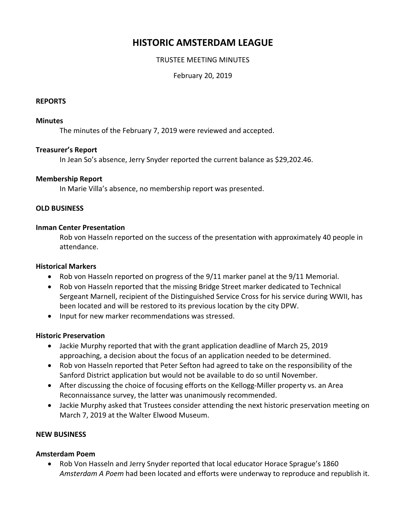# **HISTORIC AMSTERDAM LEAGUE**

# TRUSTEE MEETING MINUTES

February 20, 2019

#### **REPORTS**

#### **Minutes**

The minutes of the February 7, 2019 were reviewed and accepted.

## **Treasurer's Report**

In Jean So's absence, Jerry Snyder reported the current balance as \$29,202.46.

## **Membership Report**

In Marie Villa's absence, no membership report was presented.

## **OLD BUSINESS**

#### **Inman Center Presentation**

Rob von Hasseln reported on the success of the presentation with approximately 40 people in attendance.

## **Historical Markers**

- Rob von Hasseln reported on progress of the 9/11 marker panel at the 9/11 Memorial.
- Rob von Hasseln reported that the missing Bridge Street marker dedicated to Technical Sergeant Marnell, recipient of the Distinguished Service Cross for his service during WWII, has been located and will be restored to its previous location by the city DPW.
- Input for new marker recommendations was stressed.

#### **Historic Preservation**

- Jackie Murphy reported that with the grant application deadline of March 25, 2019 approaching, a decision about the focus of an application needed to be determined.
- Rob von Hasseln reported that Peter Sefton had agreed to take on the responsibility of the Sanford District application but would not be available to do so until November.
- After discussing the choice of focusing efforts on the Kellogg-Miller property vs. an Area Reconnaissance survey, the latter was unanimously recommended.
- Jackie Murphy asked that Trustees consider attending the next historic preservation meeting on March 7, 2019 at the Walter Elwood Museum.

# **NEW BUSINESS**

# **Amsterdam Poem**

 Rob Von Hasseln and Jerry Snyder reported that local educator Horace Sprague's 1860 *Amsterdam A Poem* had been located and efforts were underway to reproduce and republish it.